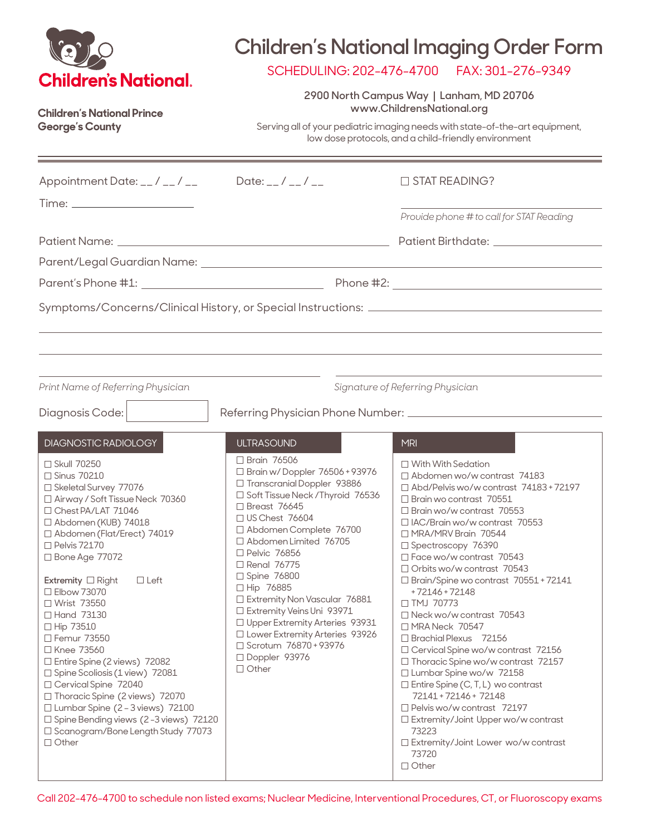| <b>Children's National.</b><br><b>Children's National Prince</b><br><b>George's County</b>                                                                                                                                                                                                                                                                                                                                                                                                                                                                                                                                                                                                                  |                                                                                                                                                                                                                                                                                                                                                                                                                                                                                                                              | <b>Children's National Imaging Order Form</b><br>SCHEDULING: 202-476-4700    FAX: 301-276-9349<br>2900 North Campus Way   Lanham, MD 20706<br>www.ChildrensNational.org<br>Serving all of your pediatric imaging needs with state-of-the-art equipment,<br>low dose protocols, and a child-friendly environment                                                                                                                                                                                                                                                                                                                                                                                                                                                                                                                                                                     |
|-------------------------------------------------------------------------------------------------------------------------------------------------------------------------------------------------------------------------------------------------------------------------------------------------------------------------------------------------------------------------------------------------------------------------------------------------------------------------------------------------------------------------------------------------------------------------------------------------------------------------------------------------------------------------------------------------------------|------------------------------------------------------------------------------------------------------------------------------------------------------------------------------------------------------------------------------------------------------------------------------------------------------------------------------------------------------------------------------------------------------------------------------------------------------------------------------------------------------------------------------|-------------------------------------------------------------------------------------------------------------------------------------------------------------------------------------------------------------------------------------------------------------------------------------------------------------------------------------------------------------------------------------------------------------------------------------------------------------------------------------------------------------------------------------------------------------------------------------------------------------------------------------------------------------------------------------------------------------------------------------------------------------------------------------------------------------------------------------------------------------------------------------|
| Appointment Date: __/ __/ __                                                                                                                                                                                                                                                                                                                                                                                                                                                                                                                                                                                                                                                                                | Date: $_{-}/_{-}/_{-}$                                                                                                                                                                                                                                                                                                                                                                                                                                                                                                       | $\Box$ STAT READING?<br>Provide phone # to call for STAT Reading                                                                                                                                                                                                                                                                                                                                                                                                                                                                                                                                                                                                                                                                                                                                                                                                                    |
| Print Name of Referring Physician                                                                                                                                                                                                                                                                                                                                                                                                                                                                                                                                                                                                                                                                           |                                                                                                                                                                                                                                                                                                                                                                                                                                                                                                                              | Signature of Referring Physician                                                                                                                                                                                                                                                                                                                                                                                                                                                                                                                                                                                                                                                                                                                                                                                                                                                    |
| Diagnosis Code:<br>DIAGNOSTIC RADIOLOGY<br>□ Skull 70250<br>□ Sinus 70210<br>□ Skeletal Survey 77076<br>□ Airway / Soft Tissue Neck 70360<br>□ Chest PA/LAT 71046<br>□ Abdomen (KUB) 74018<br>□ Abdomen (Flat/Erect) 74019<br>$\Box$ Pelvis 72170<br>□ Bone Age 77072<br>Extremity $\Box$ Right<br>$\Box$ Left<br>□ Elbow 73070<br>□ Wrist 73550<br>□ Hand 73130<br>□ Hip 73510<br>□ Femur 73550<br>□ Knee 73560<br>$\Box$ Entire Spine (2 views) 72082<br>$\Box$ Spine Scoliosis (1 view) 72081<br>□ Cervical Spine 72040<br>□ Thoracic Spine (2 views) 72070<br>$\Box$ Lumbar Spine (2 - 3 views) 72100<br>□ Spine Bending views (2-3 views) 72120<br>□ Scanogram/Bone Length Study 77073<br>$\Box$ Other | <b>ULTRASOUND</b><br>$\Box$ Brain 76506<br>□ Brain w/Doppler 76506 + 93976<br>□ Transcranial Doppler 93886<br>□ Soft Tissue Neck / Thyroid 76536<br>$\Box$ Breast 76645<br>□ US Chest 76604<br>□ Abdomen Complete 76700<br>□ Abdomen Limited 76705<br>□ Pelvic 76856<br>□ Renal 76775<br>□ Spine 76800<br>□ Hip 76885<br>□ Extremity Non Vascular 76881<br>□ Extremity Veins Uni 93971<br>□ Upper Extremity Arteries 93931<br>□ Lower Extremity Arteries 93926<br>□ Scrotum 76870 + 93976<br>□ Doppler 93976<br>$\Box$ Other | <b>MRI</b><br>$\Box$ With With Sedation<br>$\Box$ Abdomen wo/w contrast 74183<br>□ Abd/Pelvis wo/w contrast 74183+72197<br>$\Box$ Brain wo contrast 70551<br>$\Box$ Brain wo/w contrast 70553<br>$\Box$ IAC/Brain wo/w contrast 70553<br>□ MRA/MRV Brain 70544<br>□ Spectroscopy 76390<br>$\Box$ Face wo/w contrast 70543<br>$\Box$ Orbits wo/w contrast 70543<br>$\Box$ Brain/Spine wo contrast $70551 + 72141$<br>+72146+72148<br>□ TMJ 70773<br>□ Neck wo/w contrast 70543<br>□ MRA Neck 70547<br>$\Box$ Brachial Plexus 72156<br>□ Cervical Spine wo/w contrast 72156<br>□ Thoracic Spine wo/w contrast 72157<br>□ Lumbar Spine wo/w 72158<br>$\Box$ Entire Spine (C, T, L) wo contrast<br>72141+72146+72148<br>$\Box$ Pelvis wo/w contrast 72197<br>$\Box$ Extremity/Joint Upper wo/w contrast<br>73223<br>$\Box$ Extremity/Joint Lower wo/w contrast<br>73720<br>$\Box$ Other |